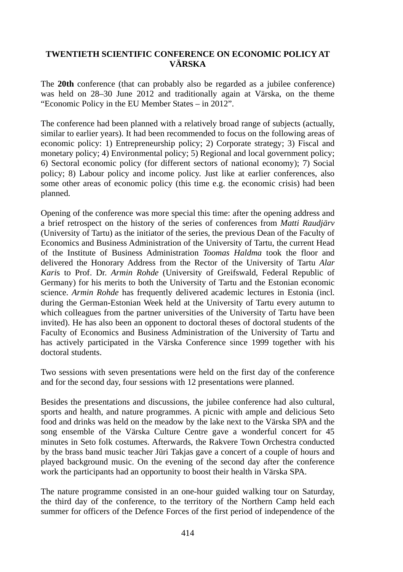## **TWENTIETH SCIENTIFIC CONFERENCE ON ECONOMIC POLICY AT VÄRSKA**

The **20th** conference (that can probably also be regarded as a jubilee conference) was held on 28–30 June 2012 and traditionally again at Värska, on the theme "Economic Policy in the EU Member States – in 2012".

The conference had been planned with a relatively broad range of subjects (actually, similar to earlier years). It had been recommended to focus on the following areas of economic policy: 1) Entrepreneurship policy; 2) Corporate strategy; 3) Fiscal and monetary policy; 4) Environmental policy; 5) Regional and local government policy; 6) Sectoral economic policy (for different sectors of national economy); 7) Social policy; 8) Labour policy and income policy. Just like at earlier conferences, also some other areas of economic policy (this time e.g. the economic crisis) had been planned.

Opening of the conference was more special this time: after the opening address and a brief retrospect on the history of the series of conferences from *Matti Raudjärv*  (University of Tartu) as the initiator of the series, the previous Dean of the Faculty of Economics and Business Administration of the University of Tartu, the current Head of the Institute of Business Administration *Toomas Haldma* took the floor and delivered the Honorary Address from the Rector of the University of Tartu *Alar Kari*s to Prof. Dr. *Armin Rohde* (University of Greifswald, Federal Republic of Germany) for his merits to both the University of Tartu and the Estonian economic science. *Armin Rohde* has frequently delivered academic lectures in Estonia (incl. during the German-Estonian Week held at the University of Tartu every autumn to which colleagues from the partner universities of the University of Tartu have been invited). He has also been an opponent to doctoral theses of doctoral students of the Faculty of Economics and Business Administration of the University of Tartu and has actively participated in the Värska Conference since 1999 together with his doctoral students.

Two sessions with seven presentations were held on the first day of the conference and for the second day, four sessions with 12 presentations were planned.

Besides the presentations and discussions, the jubilee conference had also cultural, sports and health, and nature programmes. A picnic with ample and delicious Seto food and drinks was held on the meadow by the lake next to the Värska SPA and the song ensemble of the Värska Culture Centre gave a wonderful concert for 45 minutes in Seto folk costumes. Afterwards, the Rakvere Town Orchestra conducted by the brass band music teacher Jüri Takjas gave a concert of a couple of hours and played background music. On the evening of the second day after the conference work the participants had an opportunity to boost their health in Värska SPA.

The nature programme consisted in an one-hour guided walking tour on Saturday, the third day of the conference, to the territory of the Northern Camp held each summer for officers of the Defence Forces of the first period of independence of the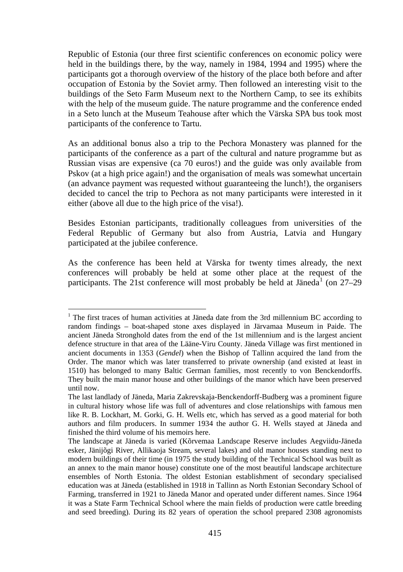Republic of Estonia (our three first scientific conferences on economic policy were held in the buildings there, by the way, namely in 1984, 1994 and 1995) where the participants got a thorough overview of the history of the place both before and after occupation of Estonia by the Soviet army. Then followed an interesting visit to the buildings of the Seto Farm Museum next to the Northern Camp, to see its exhibits with the help of the museum guide. The nature programme and the conference ended in a Seto lunch at the Museum Teahouse after which the Värska SPA bus took most participants of the conference to Tartu.

As an additional bonus also a trip to the Pechora Monastery was planned for the participants of the conference as a part of the cultural and nature programme but as Russian visas are expensive (ca 70 euros!) and the guide was only available from Pskov (at a high price again!) and the organisation of meals was somewhat uncertain (an advance payment was requested without guaranteeing the lunch!), the organisers decided to cancel the trip to Pechora as not many participants were interested in it either (above all due to the high price of the visa!).

Besides Estonian participants, traditionally colleagues from universities of the Federal Republic of Germany but also from Austria, Latvia and Hungary participated at the jubilee conference.

As the conference has been held at Värska for twenty times already, the next conferences will probably be held at some other place at the request of the participants. The 2[1](#page-1-0)st conference will most probably be held at Jäneda<sup>1</sup> (on  $27-29$ )

1

<span id="page-1-0"></span> $1$ . The first traces of human activities at Jäneda date from the 3rd millennium BC according to random findings – boat-shaped stone axes displayed in Järvamaa Museum in Paide. The ancient Jäneda Stronghold dates from the end of the 1st millennium and is the largest ancient defence structure in that area of the Lääne-Viru County. Jäneda Village was first mentioned in ancient documents in 1353 (*Gendel*) when the Bishop of Tallinn acquired the land from the Order. The manor which was later transferred to private ownership (and existed at least in 1510) has belonged to many Baltic German families, most recently to von Benckendorffs. They built the main manor house and other buildings of the manor which have been preserved until now.

The last landlady of Jäneda, Maria Zakrevskaja-Benckendorff-Budberg was a prominent figure in cultural history whose life was full of adventures and close relationships with famous men like R. B. Lockhart, M. Gorki, G. H. Wells etc, which has served as a good material for both authors and film producers. In summer 1934 the author G. H. Wells stayed at Jäneda and finished the third volume of his memoirs here.

The landscape at Jäneda is varied (Kõrvemaa Landscape Reserve includes Aegviidu-Jäneda esker, Jänijõgi River, Allikaoja Stream, several lakes) and old manor houses standing next to modern buildings of their time (in 1975 the study building of the Technical School was built as an annex to the main manor house) constitute one of the most beautiful landscape architecture ensembles of North Estonia. The oldest Estonian establishment of secondary specialised education was at Jäneda (established in 1918 in Tallinn as North Estonian Secondary School of Farming, transferred in 1921 to Jäneda Manor and operated under different names. Since 1964 it was a State Farm Technical School where the main fields of production were cattle breeding and seed breeding). During its 82 years of operation the school prepared 2308 agronomists